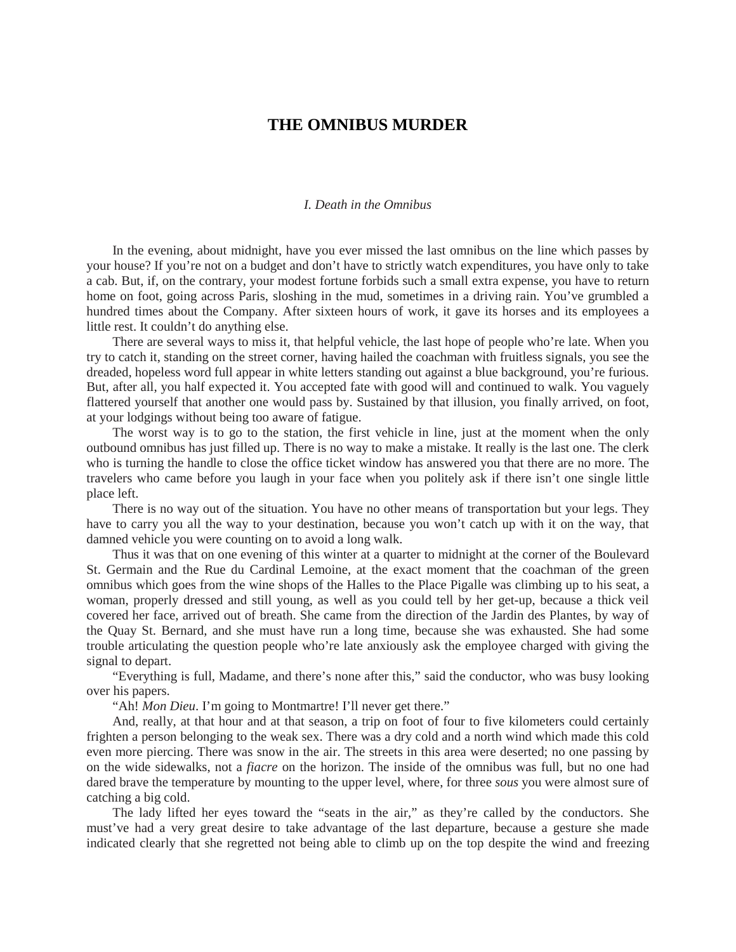## **THE OMNIBUS MURDER**

## *I. Death in the Omnibus*

In the evening, about midnight, have you ever missed the last omnibus on the line which passes by your house? If you're not on a budget and don't have to strictly watch expenditures, you have only to take a cab. But, if, on the contrary, your modest fortune forbids such a small extra expense, you have to return home on foot, going across Paris, sloshing in the mud, sometimes in a driving rain. You've grumbled a hundred times about the Company. After sixteen hours of work, it gave its horses and its employees a little rest. It couldn't do anything else.

There are several ways to miss it, that helpful vehicle, the last hope of people who're late. When you try to catch it, standing on the street corner, having hailed the coachman with fruitless signals, you see the dreaded, hopeless word full appear in white letters standing out against a blue background, you're furious. But, after all, you half expected it. You accepted fate with good will and continued to walk. You vaguely flattered yourself that another one would pass by. Sustained by that illusion, you finally arrived, on foot, at your lodgings without being too aware of fatigue.

The worst way is to go to the station, the first vehicle in line, just at the moment when the only outbound omnibus has just filled up. There is no way to make a mistake. It really is the last one. The clerk who is turning the handle to close the office ticket window has answered you that there are no more. The travelers who came before you laugh in your face when you politely ask if there isn't one single little place left.

There is no way out of the situation. You have no other means of transportation but your legs. They have to carry you all the way to your destination, because you won't catch up with it on the way, that damned vehicle you were counting on to avoid a long walk.

Thus it was that on one evening of this winter at a quarter to midnight at the corner of the Boulevard St. Germain and the Rue du Cardinal Lemoine, at the exact moment that the coachman of the green omnibus which goes from the wine shops of the Halles to the Place Pigalle was climbing up to his seat, a woman, properly dressed and still young, as well as you could tell by her get-up, because a thick veil covered her face, arrived out of breath. She came from the direction of the Jardin des Plantes, by way of the Quay St. Bernard, and she must have run a long time, because she was exhausted. She had some trouble articulating the question people who're late anxiously ask the employee charged with giving the signal to depart.

"Everything is full, Madame, and there's none after this," said the conductor, who was busy looking over his papers.

"Ah! *Mon Dieu*. I'm going to Montmartre! I'll never get there."

And, really, at that hour and at that season, a trip on foot of four to five kilometers could certainly frighten a person belonging to the weak sex. There was a dry cold and a north wind which made this cold even more piercing. There was snow in the air. The streets in this area were deserted; no one passing by on the wide sidewalks, not a *fiacre* on the horizon. The inside of the omnibus was full, but no one had dared brave the temperature by mounting to the upper level, where, for three *sous* you were almost sure of catching a big cold.

The lady lifted her eyes toward the "seats in the air," as they're called by the conductors. She must've had a very great desire to take advantage of the last departure, because a gesture she made indicated clearly that she regretted not being able to climb up on the top despite the wind and freezing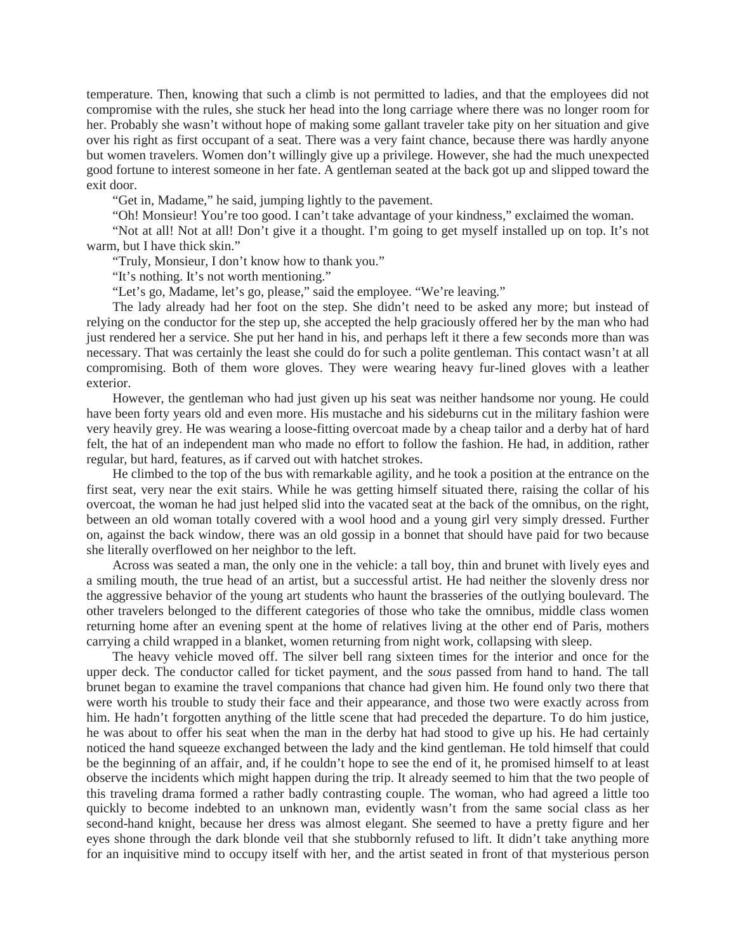temperature. Then, knowing that such a climb is not permitted to ladies, and that the employees did not compromise with the rules, she stuck her head into the long carriage where there was no longer room for her. Probably she wasn't without hope of making some gallant traveler take pity on her situation and give over his right as first occupant of a seat. There was a very faint chance, because there was hardly anyone but women travelers. Women don't willingly give up a privilege. However, she had the much unexpected good fortune to interest someone in her fate. A gentleman seated at the back got up and slipped toward the exit door.

"Get in, Madame," he said, jumping lightly to the pavement.

"Oh! Monsieur! You're too good. I can't take advantage of your kindness," exclaimed the woman.

"Not at all! Not at all! Don't give it a thought. I'm going to get myself installed up on top. It's not warm, but I have thick skin."

"Truly, Monsieur, I don't know how to thank you."

"It's nothing. It's not worth mentioning."

"Let's go, Madame, let's go, please," said the employee. "We're leaving."

The lady already had her foot on the step. She didn't need to be asked any more; but instead of relying on the conductor for the step up, she accepted the help graciously offered her by the man who had just rendered her a service. She put her hand in his, and perhaps left it there a few seconds more than was necessary. That was certainly the least she could do for such a polite gentleman. This contact wasn't at all compromising. Both of them wore gloves. They were wearing heavy fur-lined gloves with a leather exterior.

However, the gentleman who had just given up his seat was neither handsome nor young. He could have been forty years old and even more. His mustache and his sideburns cut in the military fashion were very heavily grey. He was wearing a loose-fitting overcoat made by a cheap tailor and a derby hat of hard felt, the hat of an independent man who made no effort to follow the fashion. He had, in addition, rather regular, but hard, features, as if carved out with hatchet strokes.

He climbed to the top of the bus with remarkable agility, and he took a position at the entrance on the first seat, very near the exit stairs. While he was getting himself situated there, raising the collar of his overcoat, the woman he had just helped slid into the vacated seat at the back of the omnibus, on the right, between an old woman totally covered with a wool hood and a young girl very simply dressed. Further on, against the back window, there was an old gossip in a bonnet that should have paid for two because she literally overflowed on her neighbor to the left.

Across was seated a man, the only one in the vehicle: a tall boy, thin and brunet with lively eyes and a smiling mouth, the true head of an artist, but a successful artist. He had neither the slovenly dress nor the aggressive behavior of the young art students who haunt the brasseries of the outlying boulevard. The other travelers belonged to the different categories of those who take the omnibus, middle class women returning home after an evening spent at the home of relatives living at the other end of Paris, mothers carrying a child wrapped in a blanket, women returning from night work, collapsing with sleep.

The heavy vehicle moved off. The silver bell rang sixteen times for the interior and once for the upper deck. The conductor called for ticket payment, and the *sous* passed from hand to hand. The tall brunet began to examine the travel companions that chance had given him. He found only two there that were worth his trouble to study their face and their appearance, and those two were exactly across from him. He hadn't forgotten anything of the little scene that had preceded the departure. To do him justice, he was about to offer his seat when the man in the derby hat had stood to give up his. He had certainly noticed the hand squeeze exchanged between the lady and the kind gentleman. He told himself that could be the beginning of an affair, and, if he couldn't hope to see the end of it, he promised himself to at least observe the incidents which might happen during the trip. It already seemed to him that the two people of this traveling drama formed a rather badly contrasting couple. The woman, who had agreed a little too quickly to become indebted to an unknown man, evidently wasn't from the same social class as her second-hand knight, because her dress was almost elegant. She seemed to have a pretty figure and her eyes shone through the dark blonde veil that she stubbornly refused to lift. It didn't take anything more for an inquisitive mind to occupy itself with her, and the artist seated in front of that mysterious person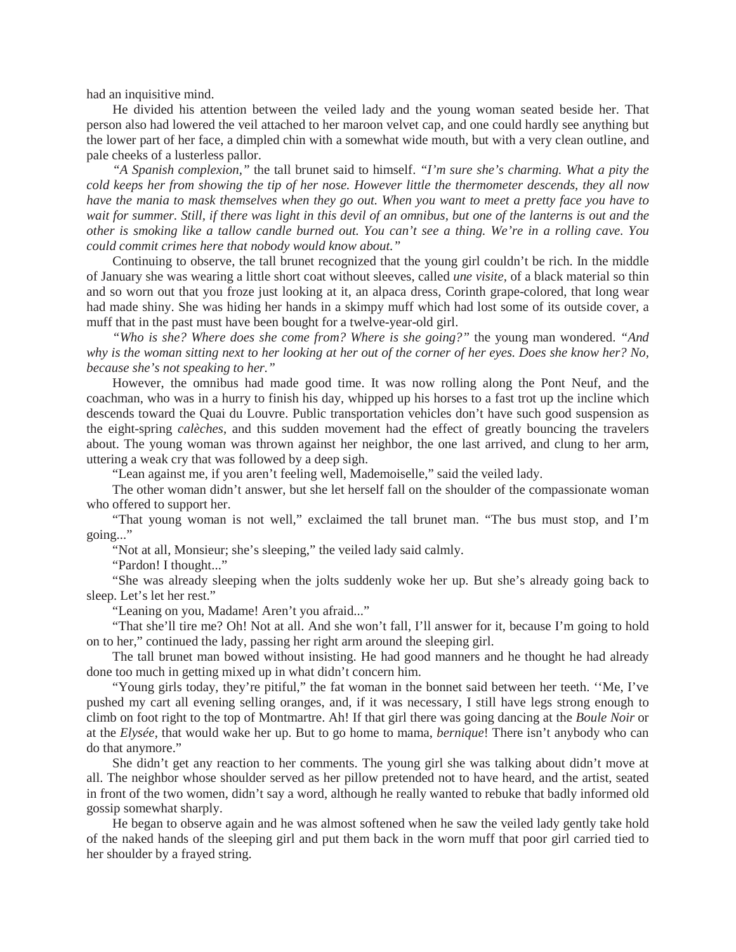had an inquisitive mind.

He divided his attention between the veiled lady and the young woman seated beside her. That person also had lowered the veil attached to her maroon velvet cap, and one could hardly see anything but the lower part of her face, a dimpled chin with a somewhat wide mouth, but with a very clean outline, and pale cheeks of a lusterless pallor.

*"A Spanish complexion,"* the tall brunet said to himself. *"I'm sure she's charming. What a pity the cold keeps her from showing the tip of her nose. However little the thermometer descends, they all now have the mania to mask themselves when they go out. When you want to meet a pretty face you have to wait for summer. Still, if there was light in this devil of an omnibus, but one of the lanterns is out and the other is smoking like a tallow candle burned out. You can't see a thing. We're in a rolling cave. You could commit crimes here that nobody would know about."* 

Continuing to observe, the tall brunet recognized that the young girl couldn't be rich. In the middle of January she was wearing a little short coat without sleeves, called *une visite,* of a black material so thin and so worn out that you froze just looking at it, an alpaca dress, Corinth grape-colored, that long wear had made shiny. She was hiding her hands in a skimpy muff which had lost some of its outside cover, a muff that in the past must have been bought for a twelve-year-old girl.

*"Who is she? Where does she come from? Where is she going?"* the young man wondered. *"And why is the woman sitting next to her looking at her out of the corner of her eyes. Does she know her? No, because she's not speaking to her."* 

However, the omnibus had made good time. It was now rolling along the Pont Neuf, and the coachman, who was in a hurry to finish his day, whipped up his horses to a fast trot up the incline which descends toward the Quai du Louvre. Public transportation vehicles don't have such good suspension as the eight-spring *calèches*, and this sudden movement had the effect of greatly bouncing the travelers about. The young woman was thrown against her neighbor, the one last arrived, and clung to her arm, uttering a weak cry that was followed by a deep sigh.

"Lean against me, if you aren't feeling well, Mademoiselle," said the veiled lady.

The other woman didn't answer, but she let herself fall on the shoulder of the compassionate woman who offered to support her.

"That young woman is not well," exclaimed the tall brunet man. "The bus must stop, and I'm going..."

"Not at all, Monsieur; she's sleeping," the veiled lady said calmly.

"Pardon! I thought..."

"She was already sleeping when the jolts suddenly woke her up. But she's already going back to sleep. Let's let her rest."

"Leaning on you, Madame! Aren't you afraid..."

"That she'll tire me? Oh! Not at all. And she won't fall, I'll answer for it, because I'm going to hold on to her," continued the lady, passing her right arm around the sleeping girl.

The tall brunet man bowed without insisting. He had good manners and he thought he had already done too much in getting mixed up in what didn't concern him.

"Young girls today, they're pitiful," the fat woman in the bonnet said between her teeth. ''Me, I've pushed my cart all evening selling oranges, and, if it was necessary, I still have legs strong enough to climb on foot right to the top of Montmartre. Ah! If that girl there was going dancing at the *Boule Noir* or at the *Elysée*, that would wake her up. But to go home to mama, *bernique*! There isn't anybody who can do that anymore."

She didn't get any reaction to her comments. The young girl she was talking about didn't move at all. The neighbor whose shoulder served as her pillow pretended not to have heard, and the artist, seated in front of the two women, didn't say a word, although he really wanted to rebuke that badly informed old gossip somewhat sharply.

He began to observe again and he was almost softened when he saw the veiled lady gently take hold of the naked hands of the sleeping girl and put them back in the worn muff that poor girl carried tied to her shoulder by a frayed string.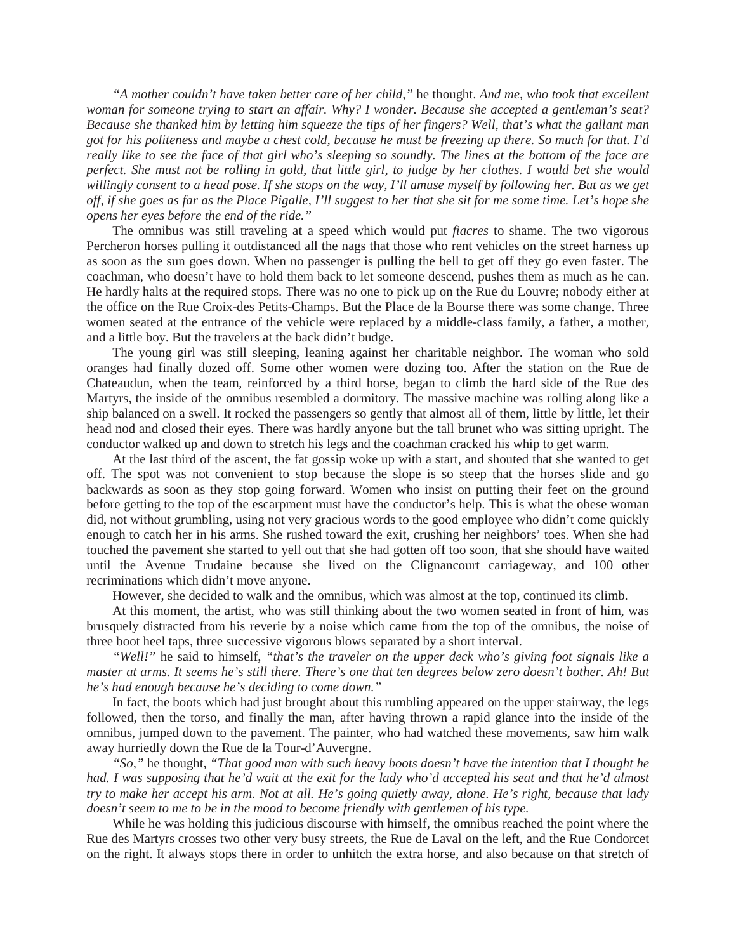*"A mother couldn't have taken better care of her child,"* he thought. *And me, who took that excellent woman for someone trying to start an affair. Why? I wonder. Because she accepted a gentleman's seat? Because she thanked him by letting him squeeze the tips of her fingers? Well, that's what the gallant man got for his politeness and maybe a chest cold, because he must be freezing up there. So much for that. I'd really like to see the face of that girl who's sleeping so soundly. The lines at the bottom of the face are perfect. She must not be rolling in gold, that little girl, to judge by her clothes. I would bet she would willingly consent to a head pose. If she stops on the way, I'll amuse myself by following her. But as we get off, if she goes as far as the Place Pigalle, I'll suggest to her that she sit for me some time. Let's hope she opens her eyes before the end of the ride."* 

The omnibus was still traveling at a speed which would put *fiacres* to shame. The two vigorous Percheron horses pulling it outdistanced all the nags that those who rent vehicles on the street harness up as soon as the sun goes down. When no passenger is pulling the bell to get off they go even faster. The coachman, who doesn't have to hold them back to let someone descend, pushes them as much as he can. He hardly halts at the required stops. There was no one to pick up on the Rue du Louvre; nobody either at the office on the Rue Croix-des Petits-Champs. But the Place de la Bourse there was some change. Three women seated at the entrance of the vehicle were replaced by a middle-class family, a father, a mother, and a little boy. But the travelers at the back didn't budge.

The young girl was still sleeping, leaning against her charitable neighbor. The woman who sold oranges had finally dozed off. Some other women were dozing too. After the station on the Rue de Chateaudun, when the team, reinforced by a third horse, began to climb the hard side of the Rue des Martyrs, the inside of the omnibus resembled a dormitory. The massive machine was rolling along like a ship balanced on a swell. It rocked the passengers so gently that almost all of them, little by little, let their head nod and closed their eyes. There was hardly anyone but the tall brunet who was sitting upright. The conductor walked up and down to stretch his legs and the coachman cracked his whip to get warm.

At the last third of the ascent, the fat gossip woke up with a start, and shouted that she wanted to get off. The spot was not convenient to stop because the slope is so steep that the horses slide and go backwards as soon as they stop going forward. Women who insist on putting their feet on the ground before getting to the top of the escarpment must have the conductor's help. This is what the obese woman did, not without grumbling, using not very gracious words to the good employee who didn't come quickly enough to catch her in his arms. She rushed toward the exit, crushing her neighbors' toes. When she had touched the pavement she started to yell out that she had gotten off too soon, that she should have waited until the Avenue Trudaine because she lived on the Clignancourt carriageway, and 100 other recriminations which didn't move anyone.

However, she decided to walk and the omnibus, which was almost at the top, continued its climb.

At this moment, the artist, who was still thinking about the two women seated in front of him, was brusquely distracted from his reverie by a noise which came from the top of the omnibus, the noise of three boot heel taps, three successive vigorous blows separated by a short interval.

*"Well!"* he said to himself, *"that's the traveler on the upper deck who's giving foot signals like a master at arms. It seems he's still there. There's one that ten degrees below zero doesn't bother. Ah! But he's had enough because he's deciding to come down."* 

In fact, the boots which had just brought about this rumbling appeared on the upper stairway, the legs followed, then the torso, and finally the man, after having thrown a rapid glance into the inside of the omnibus, jumped down to the pavement. The painter, who had watched these movements, saw him walk away hurriedly down the Rue de la Tour-d'Auvergne.

*"So,"* he thought, *"That good man with such heavy boots doesn't have the intention that I thought he had. I was supposing that he'd wait at the exit for the lady who'd accepted his seat and that he'd almost try to make her accept his arm. Not at all. He's going quietly away, alone. He's right, because that lady doesn't seem to me to be in the mood to become friendly with gentlemen of his type.* 

While he was holding this judicious discourse with himself, the omnibus reached the point where the Rue des Martyrs crosses two other very busy streets, the Rue de Laval on the left, and the Rue Condorcet on the right. It always stops there in order to unhitch the extra horse, and also because on that stretch of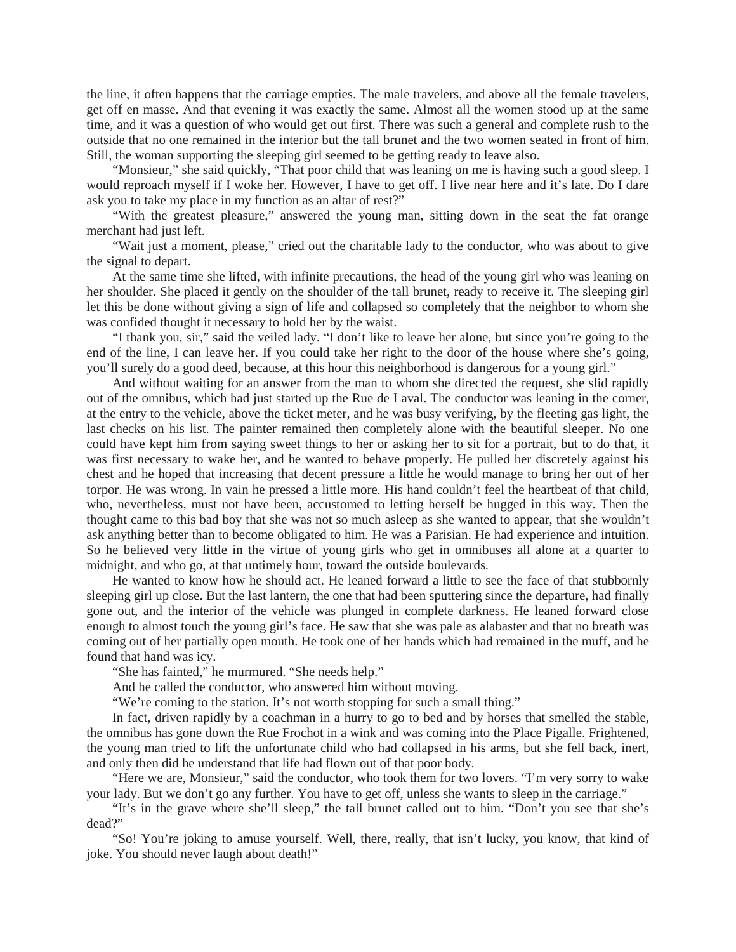the line, it often happens that the carriage empties. The male travelers, and above all the female travelers, get off en masse. And that evening it was exactly the same. Almost all the women stood up at the same time, and it was a question of who would get out first. There was such a general and complete rush to the outside that no one remained in the interior but the tall brunet and the two women seated in front of him. Still, the woman supporting the sleeping girl seemed to be getting ready to leave also.

"Monsieur," she said quickly, "That poor child that was leaning on me is having such a good sleep. I would reproach myself if I woke her. However, I have to get off. I live near here and it's late. Do I dare ask you to take my place in my function as an altar of rest?"

"With the greatest pleasure," answered the young man, sitting down in the seat the fat orange merchant had just left.

"Wait just a moment, please," cried out the charitable lady to the conductor, who was about to give the signal to depart.

At the same time she lifted, with infinite precautions, the head of the young girl who was leaning on her shoulder. She placed it gently on the shoulder of the tall brunet, ready to receive it. The sleeping girl let this be done without giving a sign of life and collapsed so completely that the neighbor to whom she was confided thought it necessary to hold her by the waist.

"I thank you, sir," said the veiled lady. "I don't like to leave her alone, but since you're going to the end of the line, I can leave her. If you could take her right to the door of the house where she's going, you'll surely do a good deed, because, at this hour this neighborhood is dangerous for a young girl."

And without waiting for an answer from the man to whom she directed the request, she slid rapidly out of the omnibus, which had just started up the Rue de Laval. The conductor was leaning in the corner, at the entry to the vehicle, above the ticket meter, and he was busy verifying, by the fleeting gas light, the last checks on his list. The painter remained then completely alone with the beautiful sleeper. No one could have kept him from saying sweet things to her or asking her to sit for a portrait, but to do that, it was first necessary to wake her, and he wanted to behave properly. He pulled her discretely against his chest and he hoped that increasing that decent pressure a little he would manage to bring her out of her torpor. He was wrong. In vain he pressed a little more. His hand couldn't feel the heartbeat of that child, who, nevertheless, must not have been, accustomed to letting herself be hugged in this way. Then the thought came to this bad boy that she was not so much asleep as she wanted to appear, that she wouldn't ask anything better than to become obligated to him. He was a Parisian. He had experience and intuition. So he believed very little in the virtue of young girls who get in omnibuses all alone at a quarter to midnight, and who go, at that untimely hour, toward the outside boulevards.

He wanted to know how he should act. He leaned forward a little to see the face of that stubbornly sleeping girl up close. But the last lantern, the one that had been sputtering since the departure, had finally gone out, and the interior of the vehicle was plunged in complete darkness. He leaned forward close enough to almost touch the young girl's face. He saw that she was pale as alabaster and that no breath was coming out of her partially open mouth. He took one of her hands which had remained in the muff, and he found that hand was icy.

"She has fainted," he murmured. "She needs help."

And he called the conductor, who answered him without moving.

"We're coming to the station. It's not worth stopping for such a small thing."

In fact, driven rapidly by a coachman in a hurry to go to bed and by horses that smelled the stable, the omnibus has gone down the Rue Frochot in a wink and was coming into the Place Pigalle. Frightened, the young man tried to lift the unfortunate child who had collapsed in his arms, but she fell back, inert, and only then did he understand that life had flown out of that poor body.

"Here we are, Monsieur," said the conductor, who took them for two lovers. "I'm very sorry to wake your lady. But we don't go any further. You have to get off, unless she wants to sleep in the carriage."

"It's in the grave where she'll sleep," the tall brunet called out to him. "Don't you see that she's dead?"

"So! You're joking to amuse yourself. Well, there, really, that isn't lucky, you know, that kind of joke. You should never laugh about death!"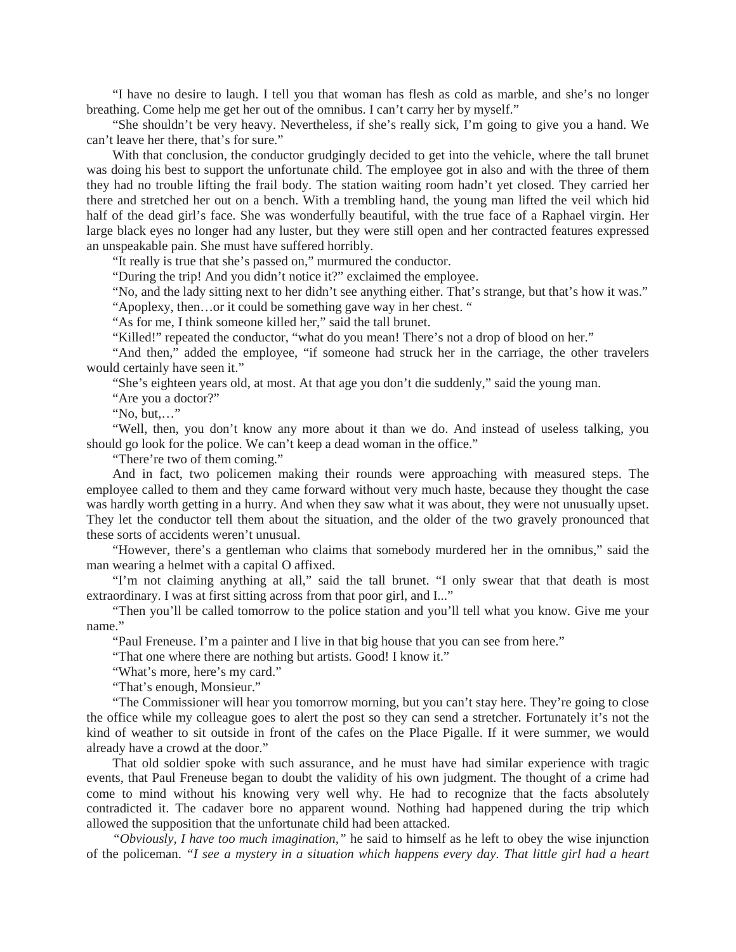"I have no desire to laugh. I tell you that woman has flesh as cold as marble, and she's no longer breathing. Come help me get her out of the omnibus. I can't carry her by myself."

"She shouldn't be very heavy. Nevertheless, if she's really sick, I'm going to give you a hand. We can't leave her there, that's for sure."

With that conclusion, the conductor grudgingly decided to get into the vehicle, where the tall brunet was doing his best to support the unfortunate child. The employee got in also and with the three of them they had no trouble lifting the frail body. The station waiting room hadn't yet closed. They carried her there and stretched her out on a bench. With a trembling hand, the young man lifted the veil which hid half of the dead girl's face. She was wonderfully beautiful, with the true face of a Raphael virgin. Her large black eyes no longer had any luster, but they were still open and her contracted features expressed an unspeakable pain. She must have suffered horribly.

"It really is true that she's passed on," murmured the conductor.

"During the trip! And you didn't notice it?" exclaimed the employee.

"No, and the lady sitting next to her didn't see anything either. That's strange, but that's how it was." "Apoplexy, then…or it could be something gave way in her chest. "

"As for me, I think someone killed her," said the tall brunet.

"Killed!" repeated the conductor, "what do you mean! There's not a drop of blood on her."

"And then," added the employee, "if someone had struck her in the carriage, the other travelers would certainly have seen it."

"She's eighteen years old, at most. At that age you don't die suddenly," said the young man.

"Are you a doctor?"

"No, but,…"

"Well, then, you don't know any more about it than we do. And instead of useless talking, you should go look for the police. We can't keep a dead woman in the office."

"There're two of them coming."

And in fact, two policemen making their rounds were approaching with measured steps. The employee called to them and they came forward without very much haste, because they thought the case was hardly worth getting in a hurry. And when they saw what it was about, they were not unusually upset. They let the conductor tell them about the situation, and the older of the two gravely pronounced that these sorts of accidents weren't unusual.

"However, there's a gentleman who claims that somebody murdered her in the omnibus," said the man wearing a helmet with a capital O affixed.

"I'm not claiming anything at all," said the tall brunet. "I only swear that that death is most extraordinary. I was at first sitting across from that poor girl, and I..."

"Then you'll be called tomorrow to the police station and you'll tell what you know. Give me your name."

"Paul Freneuse. I'm a painter and I live in that big house that you can see from here."

"That one where there are nothing but artists. Good! I know it."

"What's more, here's my card."

"That's enough, Monsieur."

"The Commissioner will hear you tomorrow morning, but you can't stay here. They're going to close the office while my colleague goes to alert the post so they can send a stretcher. Fortunately it's not the kind of weather to sit outside in front of the cafes on the Place Pigalle. If it were summer, we would already have a crowd at the door."

That old soldier spoke with such assurance, and he must have had similar experience with tragic events, that Paul Freneuse began to doubt the validity of his own judgment. The thought of a crime had come to mind without his knowing very well why. He had to recognize that the facts absolutely contradicted it. The cadaver bore no apparent wound. Nothing had happened during the trip which allowed the supposition that the unfortunate child had been attacked.

*"Obviously, I have too much imagination,"* he said to himself as he left to obey the wise injunction of the policeman. *"I see a mystery in a situation which happens every day. That little girl had a heart*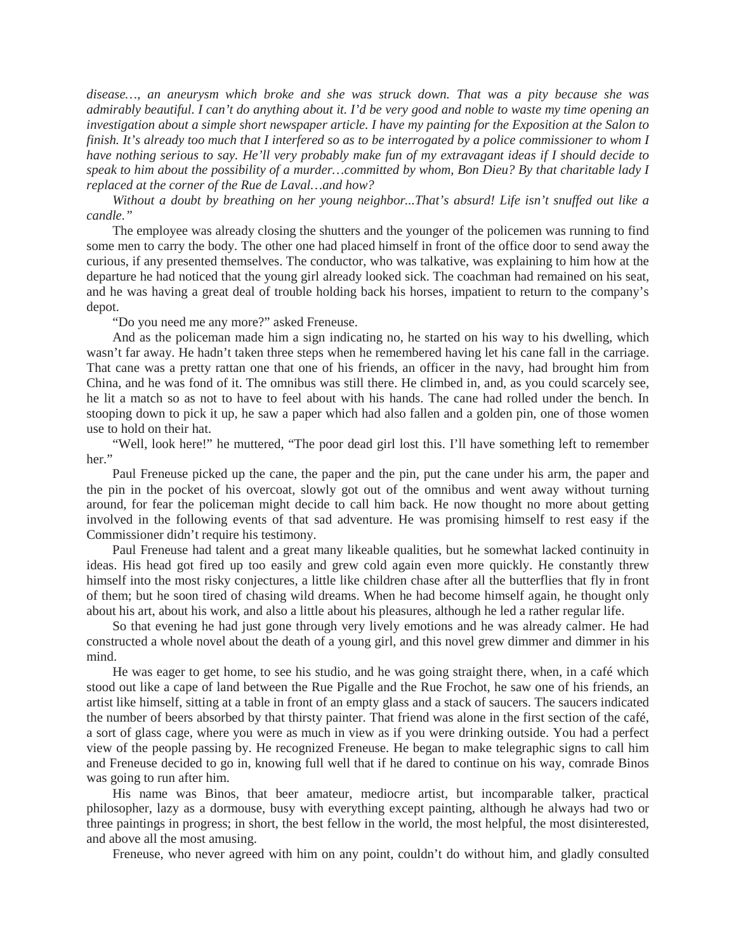*disease…, an aneurysm which broke and she was struck down. That was a pity because she was admirably beautiful. I can't do anything about it. I'd be very good and noble to waste my time opening an investigation about a simple short newspaper article. I have my painting for the Exposition at the Salon to finish. It's already too much that I interfered so as to be interrogated by a police commissioner to whom I have nothing serious to say. He'll very probably make fun of my extravagant ideas if I should decide to speak to him about the possibility of a murder…committed by whom, Bon Dieu? By that charitable lady I replaced at the corner of the Rue de Laval…and how?* 

*Without a doubt by breathing on her young neighbor...That's absurd! Life isn't snuffed out like a candle."* 

The employee was already closing the shutters and the younger of the policemen was running to find some men to carry the body. The other one had placed himself in front of the office door to send away the curious, if any presented themselves. The conductor, who was talkative, was explaining to him how at the departure he had noticed that the young girl already looked sick. The coachman had remained on his seat, and he was having a great deal of trouble holding back his horses, impatient to return to the company's depot.

"Do you need me any more?" asked Freneuse.

And as the policeman made him a sign indicating no, he started on his way to his dwelling, which wasn't far away. He hadn't taken three steps when he remembered having let his cane fall in the carriage. That cane was a pretty rattan one that one of his friends, an officer in the navy, had brought him from China, and he was fond of it. The omnibus was still there. He climbed in, and, as you could scarcely see, he lit a match so as not to have to feel about with his hands. The cane had rolled under the bench. In stooping down to pick it up, he saw a paper which had also fallen and a golden pin, one of those women use to hold on their hat.

"Well, look here!" he muttered, "The poor dead girl lost this. I'll have something left to remember her."

Paul Freneuse picked up the cane, the paper and the pin, put the cane under his arm, the paper and the pin in the pocket of his overcoat, slowly got out of the omnibus and went away without turning around, for fear the policeman might decide to call him back. He now thought no more about getting involved in the following events of that sad adventure. He was promising himself to rest easy if the Commissioner didn't require his testimony.

Paul Freneuse had talent and a great many likeable qualities, but he somewhat lacked continuity in ideas. His head got fired up too easily and grew cold again even more quickly. He constantly threw himself into the most risky conjectures, a little like children chase after all the butterflies that fly in front of them; but he soon tired of chasing wild dreams. When he had become himself again, he thought only about his art, about his work, and also a little about his pleasures, although he led a rather regular life.

So that evening he had just gone through very lively emotions and he was already calmer. He had constructed a whole novel about the death of a young girl, and this novel grew dimmer and dimmer in his mind.

He was eager to get home, to see his studio, and he was going straight there, when, in a café which stood out like a cape of land between the Rue Pigalle and the Rue Frochot, he saw one of his friends, an artist like himself, sitting at a table in front of an empty glass and a stack of saucers. The saucers indicated the number of beers absorbed by that thirsty painter. That friend was alone in the first section of the café, a sort of glass cage, where you were as much in view as if you were drinking outside. You had a perfect view of the people passing by. He recognized Freneuse. He began to make telegraphic signs to call him and Freneuse decided to go in, knowing full well that if he dared to continue on his way, comrade Binos was going to run after him.

His name was Binos, that beer amateur, mediocre artist, but incomparable talker, practical philosopher, lazy as a dormouse, busy with everything except painting, although he always had two or three paintings in progress; in short, the best fellow in the world, the most helpful, the most disinterested, and above all the most amusing.

Freneuse, who never agreed with him on any point, couldn't do without him, and gladly consulted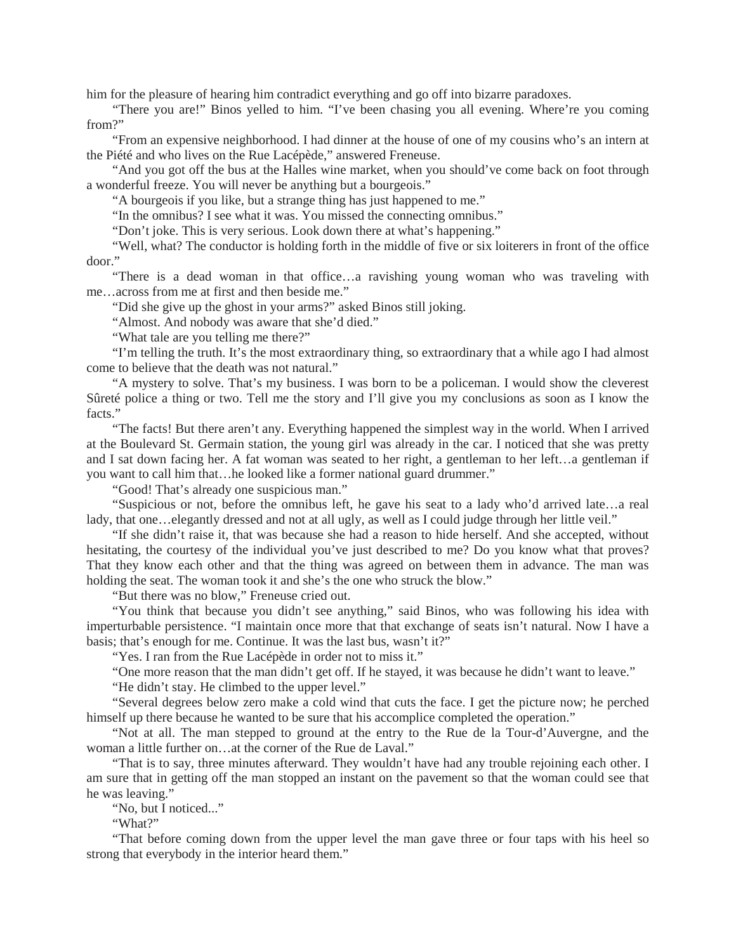him for the pleasure of hearing him contradict everything and go off into bizarre paradoxes.

"There you are!" Binos yelled to him. "I've been chasing you all evening. Where're you coming from?"

"From an expensive neighborhood. I had dinner at the house of one of my cousins who's an intern at the Piété and who lives on the Rue Lacépède," answered Freneuse.

"And you got off the bus at the Halles wine market, when you should've come back on foot through a wonderful freeze. You will never be anything but a bourgeois."

"A bourgeois if you like, but a strange thing has just happened to me."

"In the omnibus? I see what it was. You missed the connecting omnibus."

"Don't joke. This is very serious. Look down there at what's happening."

"Well, what? The conductor is holding forth in the middle of five or six loiterers in front of the office door."

"There is a dead woman in that office…a ravishing young woman who was traveling with me…across from me at first and then beside me."

"Did she give up the ghost in your arms?" asked Binos still joking.

"Almost. And nobody was aware that she'd died."

"What tale are you telling me there?"

"I'm telling the truth. It's the most extraordinary thing, so extraordinary that a while ago I had almost come to believe that the death was not natural."

"A mystery to solve. That's my business. I was born to be a policeman. I would show the cleverest Sûreté police a thing or two. Tell me the story and I'll give you my conclusions as soon as I know the facts<sup>"</sup>

"The facts! But there aren't any. Everything happened the simplest way in the world. When I arrived at the Boulevard St. Germain station, the young girl was already in the car. I noticed that she was pretty and I sat down facing her. A fat woman was seated to her right, a gentleman to her left…a gentleman if you want to call him that…he looked like a former national guard drummer."

"Good! That's already one suspicious man."

"Suspicious or not, before the omnibus left, he gave his seat to a lady who'd arrived late…a real lady, that one…elegantly dressed and not at all ugly, as well as I could judge through her little veil."

"If she didn't raise it, that was because she had a reason to hide herself. And she accepted, without hesitating, the courtesy of the individual you've just described to me? Do you know what that proves? That they know each other and that the thing was agreed on between them in advance. The man was holding the seat. The woman took it and she's the one who struck the blow."

"But there was no blow," Freneuse cried out.

"You think that because you didn't see anything," said Binos, who was following his idea with imperturbable persistence. "I maintain once more that that exchange of seats isn't natural. Now I have a basis; that's enough for me. Continue. It was the last bus, wasn't it?"

"Yes. I ran from the Rue Lacépède in order not to miss it."

"One more reason that the man didn't get off. If he stayed, it was because he didn't want to leave."

"He didn't stay. He climbed to the upper level."

"Several degrees below zero make a cold wind that cuts the face. I get the picture now; he perched himself up there because he wanted to be sure that his accomplice completed the operation."

"Not at all. The man stepped to ground at the entry to the Rue de la Tour-d'Auvergne, and the woman a little further on…at the corner of the Rue de Laval."

"That is to say, three minutes afterward. They wouldn't have had any trouble rejoining each other. I am sure that in getting off the man stopped an instant on the pavement so that the woman could see that he was leaving."

"No, but I noticed..."

"What?"

"That before coming down from the upper level the man gave three or four taps with his heel so strong that everybody in the interior heard them."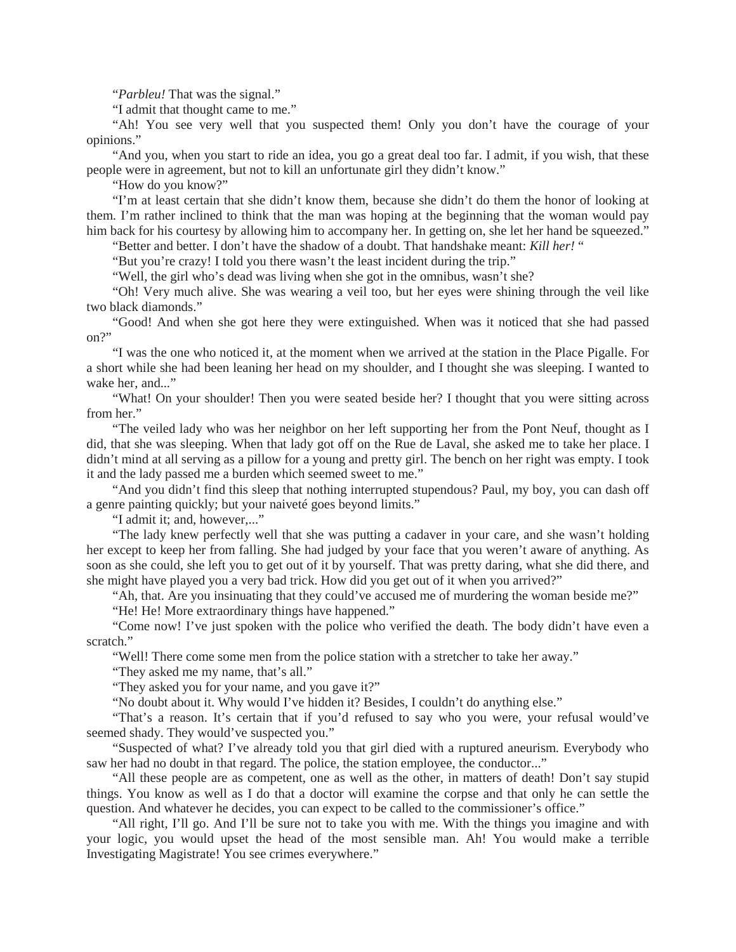"*Parbleu!* That was the signal."

"I admit that thought came to me."

"Ah! You see very well that you suspected them! Only you don't have the courage of your opinions."

"And you, when you start to ride an idea, you go a great deal too far. I admit, if you wish, that these people were in agreement, but not to kill an unfortunate girl they didn't know."

"How do you know?"

"I'm at least certain that she didn't know them, because she didn't do them the honor of looking at them. I'm rather inclined to think that the man was hoping at the beginning that the woman would pay him back for his courtesy by allowing him to accompany her. In getting on, she let her hand be squeezed."

"Better and better. I don't have the shadow of a doubt. That handshake meant: *Kill her!* "

"But you're crazy! I told you there wasn't the least incident during the trip."

"Well, the girl who's dead was living when she got in the omnibus, wasn't she?

"Oh! Very much alive. She was wearing a veil too, but her eyes were shining through the veil like two black diamonds."

"Good! And when she got here they were extinguished. When was it noticed that she had passed on?"

"I was the one who noticed it, at the moment when we arrived at the station in the Place Pigalle. For a short while she had been leaning her head on my shoulder, and I thought she was sleeping. I wanted to wake her, and..."

"What! On your shoulder! Then you were seated beside her? I thought that you were sitting across from her."

"The veiled lady who was her neighbor on her left supporting her from the Pont Neuf, thought as I did, that she was sleeping. When that lady got off on the Rue de Laval, she asked me to take her place. I didn't mind at all serving as a pillow for a young and pretty girl. The bench on her right was empty. I took it and the lady passed me a burden which seemed sweet to me."

"And you didn't find this sleep that nothing interrupted stupendous? Paul, my boy, you can dash off a genre painting quickly; but your naiveté goes beyond limits."

"I admit it; and, however...."

"The lady knew perfectly well that she was putting a cadaver in your care, and she wasn't holding her except to keep her from falling. She had judged by your face that you weren't aware of anything. As soon as she could, she left you to get out of it by yourself. That was pretty daring, what she did there, and she might have played you a very bad trick. How did you get out of it when you arrived?"

"Ah, that. Are you insinuating that they could've accused me of murdering the woman beside me?"

"He! He! More extraordinary things have happened."

"Come now! I've just spoken with the police who verified the death. The body didn't have even a scratch."

"Well! There come some men from the police station with a stretcher to take her away."

"They asked me my name, that's all."

"They asked you for your name, and you gave it?"

"No doubt about it. Why would I've hidden it? Besides, I couldn't do anything else."

"That's a reason. It's certain that if you'd refused to say who you were, your refusal would've seemed shady. They would've suspected you."

"Suspected of what? I've already told you that girl died with a ruptured aneurism. Everybody who saw her had no doubt in that regard. The police, the station employee, the conductor..."

"All these people are as competent, one as well as the other, in matters of death! Don't say stupid things. You know as well as I do that a doctor will examine the corpse and that only he can settle the question. And whatever he decides, you can expect to be called to the commissioner's office."

"All right, I'll go. And I'll be sure not to take you with me. With the things you imagine and with your logic, you would upset the head of the most sensible man. Ah! You would make a terrible Investigating Magistrate! You see crimes everywhere."